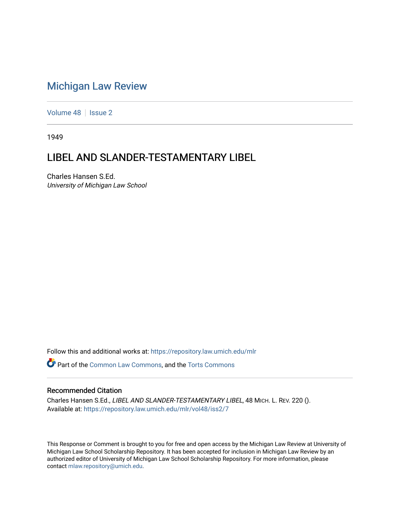## [Michigan Law Review](https://repository.law.umich.edu/mlr)

[Volume 48](https://repository.law.umich.edu/mlr/vol48) | [Issue 2](https://repository.law.umich.edu/mlr/vol48/iss2)

1949

# LIBEL AND SLANDER-TESTAMENTARY LIBEL

Charles Hansen S.Ed. University of Michigan Law School

Follow this and additional works at: [https://repository.law.umich.edu/mlr](https://repository.law.umich.edu/mlr?utm_source=repository.law.umich.edu%2Fmlr%2Fvol48%2Fiss2%2F7&utm_medium=PDF&utm_campaign=PDFCoverPages) 

Part of the [Common Law Commons,](http://network.bepress.com/hgg/discipline/1120?utm_source=repository.law.umich.edu%2Fmlr%2Fvol48%2Fiss2%2F7&utm_medium=PDF&utm_campaign=PDFCoverPages) and the [Torts Commons](http://network.bepress.com/hgg/discipline/913?utm_source=repository.law.umich.edu%2Fmlr%2Fvol48%2Fiss2%2F7&utm_medium=PDF&utm_campaign=PDFCoverPages)

### Recommended Citation

Charles Hansen S.Ed., LIBEL AND SLANDER-TESTAMENTARY LIBEL, 48 MICH. L. REV. 220 (). Available at: [https://repository.law.umich.edu/mlr/vol48/iss2/7](https://repository.law.umich.edu/mlr/vol48/iss2/7?utm_source=repository.law.umich.edu%2Fmlr%2Fvol48%2Fiss2%2F7&utm_medium=PDF&utm_campaign=PDFCoverPages)

This Response or Comment is brought to you for free and open access by the Michigan Law Review at University of Michigan Law School Scholarship Repository. It has been accepted for inclusion in Michigan Law Review by an authorized editor of University of Michigan Law School Scholarship Repository. For more information, please contact [mlaw.repository@umich.edu](mailto:mlaw.repository@umich.edu).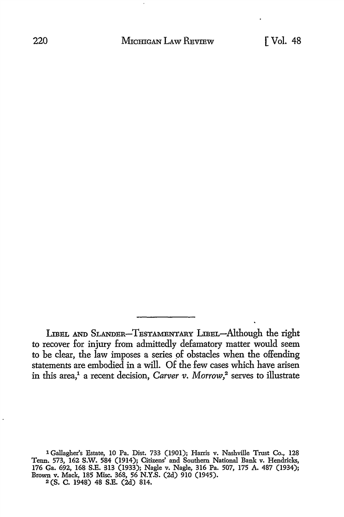LIBEL AND SLANDER-TESTAMENTARY LIBEL-Although the right to recover for injury from admittedly defamatory matter would seem to be clear, the law imposes a series of obstacles when the offending statements are embodied in a will. Of the few cases which have arisen in this area,<sup>1</sup> a recent decision, *Carver v. Morrow*,<sup>2</sup> serves to illustrate

<sup>1</sup> Gallagher's Estate, 10 Pa. Dist. 733 (1901); Harris v. Nashville Trust Co., 128 Tenn. 573, 162 **S.W.** 584 (1914); Citizens' and Southem National Bank v. Hendricks, 176 Ga. 692, 168 S.E. 313 (1933); Nagle v. Nagle, 316 Pa. 507, 175 A. 487 (1934); Brown v. Mack, 185 Misc. 368, 56 N.Y.S. (2d) 910 (1945). 2 (S. C. 1948) 48 S.E. (2d) 814.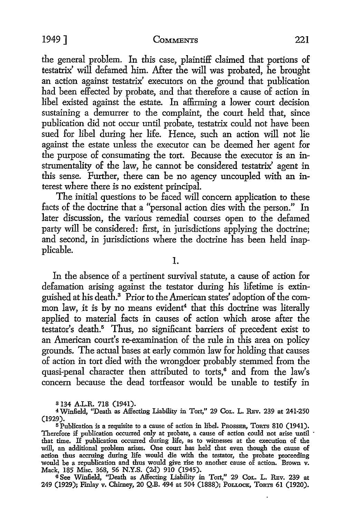### 1949] COMMENTS 221

the general problem. In this case, plaintiff claimed that portions of testatrix' will defamed him. After the will was probated, he brought an action against testatrix' executors on the ground that publication had been effected by probate, and that therefore a cause of action in libel existed against the estate. In affirming a lower court decision sustaining a demurrer *to* the complaint, the court held that, since publication did not occur until probate, testatrix could not have been sued for libel during her life. Hence, such an action will not lie against the estate unless the executor can be deemed her agent for the purpose of consumating the tort. Because the executor is an instrumentality of the law, he cannot be considered testatrix' agent in this sense. Further, there can be no agency uncoupled with an interest where there is no existent principal.

The initial questions *to* be faced will concern application to these facts of the doctrine that a "personal action dies with the person." In later discussion, the various remedial courses open to the defamed party will be considered: first, in jurisdictions applying the doctrine; and second, in jurisdictions where the doctrine has been held inapplicable.

1.

In the absence of a pertinent survival statute, a cause of action for defamation arising against the testator during his lifetime is extinguished at his death.3 Prior to the American states' adoption of the common law, it is by no means evident<sup>4</sup> that this doctrine was literally applied to material facts in causes of action which arose after the testator's death.<sup>5</sup> Thus, no significant barriers of precedent exist to an American court's re-examination of the rule in this area on policy grounds. The actual bases at early common law for holding that causes of action in tort died with the wrongdoer probably stemmed from the quasi-penal character then attributed to torts,<sup>6</sup> and from the law's concern because the dead tortfeasor would be unable to testify in

a 134 A.L.R. 718 (1941).

4Winfield, ''Death as Affecting Liability in Tort," 29 CoL. L. REv. 239 at 241-250 (1929).

<sup>5</sup>Publication is a requisite to a cause of action in libel. PROSSER, TORTS 810 (1941). Therefore if publication occurred only at probate, a cause of action could not arise until that time. If publication occurred during life, as to witnesses at the execution of the will, an additional problem arises. One court has held that even though the cause of action thus accruing during life would die with the testator, the probate proceeding would be a republication and thus would give rise to another cause of action. Brown v. Mack, 185 Misc. 368, 56 N.Y.S. (2d) 910 (1945).

6 See Winfield, "Death as Affecting Liability in Tort," 29 CoL. L. REv. 239 at 249 (1929); Finlay v. Chirney, 20 Q.B. 494 at 504 (1888); PoLLoCK, TORTS 61 (1920).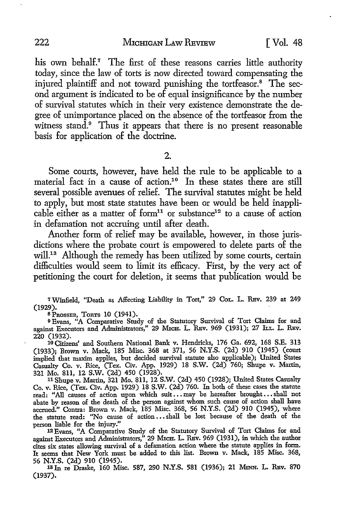his own behalf.<sup>7</sup> The first of these reasons carries little authority today, since the law of torts is now directed toward compensating the injured plaintiff and not toward punishing the tortfeasor.<sup>8</sup> The second argument is indicated to be of equal insignificance by the number of survival statutes which in their very existence demonstrate the degree of unimportance placed on the absence of the tortfeasor from the witness stand.<sup>9</sup> Thus it appears that there is no present reasonable basis for application of the doctrine.

2.

Some courts, however, have held the rule to be applicable to a material fact in a cause of action.<sup>10</sup> In these states there are still several possible avenues of relief. The survival statutes might be held to apply, but most state statutes have been or would be held inapplicable either as a matter of form<sup>11</sup> or substance<sup>12</sup> to a cause of action in defamation not accruing until after death.

Another form of relief may be available, however, in those jurisdictions where the probate court is empowered to delete parts of the will.<sup>13</sup> Although the remedy has been utilized by some courts, certain difficulties would seem to limit its efficacy. First, by the very act of petitioning the court for deletion, it seems that publication would be

 $7$  Winfield, "Death as Affecting Liability in Tort," 29 Cor. L. REv. 239 at 249 (1929).

8 PROSSER, TORTS 10 (1941).

<sup>9</sup>Evans, "A Comparative Study of the Statutory Survival of Tort Claims for and against Executors and Administrators," 29 Mich. L. REV. 969 (1931); 27 Lt. L. REV. 220 (1932).

10 Citizens' and Southern National Bank v. Hendricks, 176 Ga. 692, 168 S.E. 313 (1933); Brown v. Mack, 185 Misc. 368 at 371, 56 N.Y.S. (2d) 910 (1945) (court implied that maxim applies, but decided survival statute also applicable); United States Casualty Co. v. Rice, (Tex. Civ. App. 1929) 18 S.W. (2d) 760; Shupe v. Martin, 321 Mo. 811, 12 S.W. (2d) 450 (1928).

<sup>11</sup>Shupe v. Martin, 321 Mo. 811, 12 S.W. (2d) 450 (1928); United States Casualty Co. v. Rice, (Tex. Civ. App. 1929) 18 S.W. (2d) 760. In both of these cases the statute read: "All causes of action upon which suit ... may be hereafter brought ... shall not abate by reason of the death of the person against whom such cause of action shall have accrued." Contra: Brown v. Mack, 185 Misc. 368, 56 N.Y.S. (2d) 910 (1945), where the statute read: "No cause of action ..• shall be lost because of the death of the person liable for the injury."

12 Evans, "A Comparative Study of the Statutory Survival of Tort Claims for and against Executors and Administrators," 29 MICH. L. REV. 969 (1931), in which the author cites six states allowing survival of a defamation action where the statute applies in form. It seems that New York must be added to this list. Brown v. Mack, 185 Misc. 368, 56 N.Y.S. (2d) 910 (1945).

13 In re Draske, 160 Misc. 587, 290 N.Y.S. 581 (1936); 21 MINN. L. REV. 870 (1937).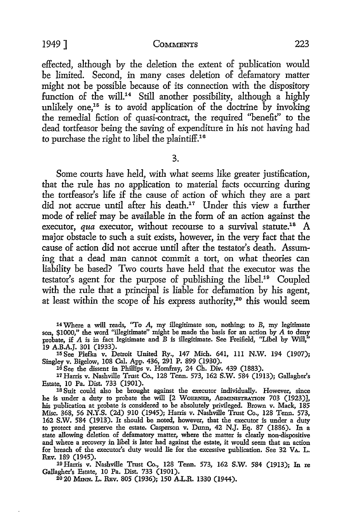#### 1949] COMMENTS 223

effected, although by the deletion the extent of publication would be limited. Second, in many cases deletion of defamatory matter might not be possible because of its connection with the dispository function of the will.<sup>14</sup> Still another possibility, although a highly unlikely one,<sup>15</sup> is to avoid application of the doctrine by invoking the remedial fiction of quasi-contract, the required "benefit" to the dead tortfeasor being the saving of expenditure in his not having had to purchase the right to libel the plaintiff.<sup>16</sup>

3.

Some courts have held, with what seems like greater justification, that the rule has no application to material facts occurring during the tortfeasor's life if the cause of action of which they are a part did not accrue until after his death.<sup>17</sup> Under this view a further mode of relief may be available in the form of an action against the executor, *qua* executor, without recourse to a survival statute.<sup>18</sup> A major obstacle to such a suit exists, however, in the very fact that the cause of action did not accrue until after the testator's death. Assuming that a dead man cannot commit a tort, on what theories can liability be based? Two courts have held that the executor was the testator's agent for the purpose of publishing the libel.1° Coupled with the rule that a principal is liable for defamation by his agent, at least within the scope of his express authority,<sup>20</sup> this would seem

16 See the dissent in Phillips v. Homfray, 24 Ch. Div. 439 (1883).

17 Harris v. Nashville Trust Co., 128 Tenn. 573, 162 S.W. 584 (1913); Gallagher's Estate, IO Pa. Dist. 733 (1901).

18 Suit could also be brought against the executor individually. However, since he is under a duty to probate the will [2 WOERNER, ADMINISTRATION 703 (1923)], his publication at probate is considered to be absolutely privileged. Brown v. Mack, 185 Misc. 368, 56 N.Y.S. (2d) 910 (1945); Harris v. Nashville Trust Co., 128 Tenn. 573, 162 S.W. 584 (1913). It should be noted, however, that the executor is under a duty to protect and preserve the estate. Casperson v. Dunn, 42 N.J. Eq. 87 (1886). In a state allowing deletion of defamatory matter, where the matter is clearly non-dispositive and where a recovery in libel is later had against the estate, it would seem that an action for breach of the executor's duty would lie for the excessive publication. See 32 VA. L. REv. 189 (1945).

19 Harris v. Nashville Trust Co., 128 Tenn. 573, 162 S.W. 584 (1913); In re Gallagher's Estate, 10 Pa. Dist. 733 (1901).

20 20 MINN. L. REv. 805 (1936); 150 A.L.R. 1330 (1944).

<sup>14</sup> Where a will reads, "To A, my illegitimate son, nothing; to B, my legitimate son, \$1000," the word "illegitimate" might be made the basis for an action by A to deny probate, if A is in fact legitimate and B is illegitimate. See Freifield, "Libel by Will," 19 A.B.A.J. 301 (1933).

<sup>15</sup> See Plefka v. Detroit United Ry., 147 Mich. 641, Ill N.W. 194 (1907); Singley v. Bigelow, 108 Cal. App. 436, 291 P. 899 (1930).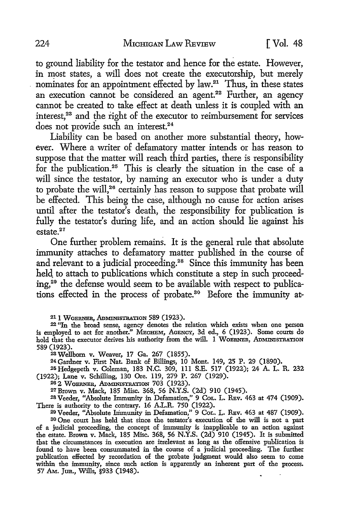to ground liability for the testator and hence for the estate. However, in most states, a will does not create the executorship, but merely nominates for an appointment effected by law.<sup>21</sup> Thus, in these states an execution cannot be considered an agent.<sup>22</sup> Further, an agency cannot be created to take effect at death unless it is coupled with an  $interest<sup>23</sup>$  and the right of the executor to reimbursement for services does not provide such an interest.<sup>24</sup>

Liability can be based on another more substantial theory, however. Where a writer of defamatory matter intends or has reason to suppose that the matter will reach third parties, there is responsibility for the publication.25 This is clearly the situation in the case of a will since the testator, by naming an executor who is under a duty to probate the will,<sup>26</sup> certainly has reason to suppose that probate will be effected. This being the case, although no cause for action arises until after the testator's death, the responsibility for publication is fully the testator's during life, and an action should lie against his estate<sup>27</sup>

One further problem remains. It is the general rule that absolute immunity attaches to defamatory matter published in the course of and relevant to a judicial proceeding.<sup>28</sup> Since this immunity has been held to attach to publications which constitute a step in such proceeding, 29 the defense would seem to be available with respect to publications effected in the process of probate.<sup>30</sup> Before the immunity at-

<sup>21</sup> 1 WOERNER, ADMINISTRATION 589 (1923).

<sup>22</sup>''In the broad sense, agency denotes the relation which exists when one person is employed to act for another." MECHEM, AGENCY, 3d ed., 6 (1923). Some courts do hold that the executor derives his authority from the will. 1 WOBRNER, ADMINISTRATION 589 (1923).

<sup>28</sup>Wellborn v. Weaver, 17 Ga. 267 (1855).

24Gardner v. First Nat. Bank of Billings, 10 Mont. 149, 25 P. 29 (1890).

25Hedgepeth v. Coleman, 183 N.C. 309, 111 S.E. 517 (1922); 24 A. L. R. 232 (1922); Lane v. Schilling, 130 Ore. 119, 279 P. 267 (1929).

26 2 WOBRNER, ADMINISTRATION 703 (1923).

27Brown v. Mack, 185 Misc. 368, 56 N.Y.S. (2d) 910 (1945).

<sup>28</sup> Veeder, "Absolute Immunity in Defamation," 9 Cor. L. REv. 463 at 474 (1909). There is authority to the contrary. 16 A.L.R. 750 (1922).

29 Veeder, "Absolute Immunity in Defamation," 9 CoL. L. RBv. 463 at 487 (1909). 80 One court has held that since the testator's execution of the will is not a part of a judicial proceeding, the concept of immunity is inapplicable to an action against the estate. Brown v. Mack, 185 Misc. 368, 56 N.Y.S. (2d) 910 (1945). It is submitted that the circumstances in execution are irrelevant as long as the offensive publication is found to have been consummated in the course of a judicial proceeding. The further publication effected by recordation of the probate judgment would also seem to come within the immunity, since such action is apparently an inherent part of the process. 57 AM. Jun., Wills, §933 (1948). • .